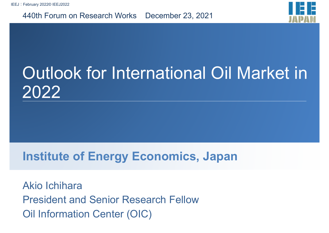440th Forum on Research Works December 23, 2021



## Outlook for International Oil Market in 2022

#### **Institute of Energy Economics, Japan**

Akio IchiharaPresident and Senior Research Fellow Oil Information Center (OIC)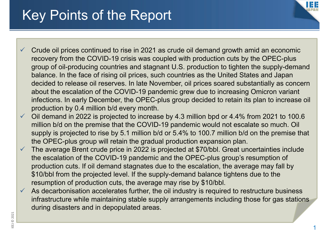#### Key Points of the Report



- $\checkmark$  Crude oil prices continued to rise in 2021 as crude oil demand growth amid an economic recovery from the COVID-19 crisis was coupled with production cuts by the OPEC-plus group of oil-producing countries and stagnant U.S. production to tighten the supply-demand balance. In the face of rising oil prices, such countries as the United States and Japan decided to release oil reserves. In late November, oil prices soared substantially as concern about the escalation of the COVID-19 pandemic grew due to increasing Omicron variant infections. In early December, the OPEC-plus group decided to retain its plan to increase oil production by 0.4 million b/d every month.
- $\checkmark$  Oil demand in 2022 is projected to increase by 4.3 million bpd or 4.4% from 2021 to 100.6 million b/d on the premise that the COVID-19 pandemic would not escalate so much. Oil supply is projected to rise by 5.1 million b/d or 5.4% to 100.7 million b/d on the premise that the OPEC-plus group will retain the gradual production expansion plan.
- $\checkmark$  The average Brent crude price in 2022 is projected at \$70/bbl. Great uncertainties include the escalation of the COVID-19 pandemic and the OPEC-plus group's resumption of production cuts. If oil demand stagnates due to the escalation, the average may fall by \$10/bbl from the projected level. If the supply-demand balance tightens due to the resumption of production cuts, the average may rise by \$10/bbl.
- $\checkmark$  As decarbonisation accelerates further, the oil industry is required to restructure business infrastructure while maintaining stable supply arrangements including those for gas stations during disasters and in depopulated areas.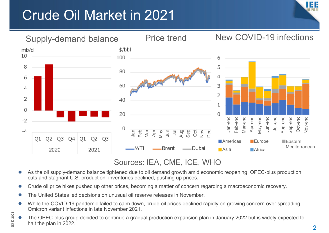### Crude Oil Market in 2021





#### Sources: IEA, CME, ICE, WHO

- $\bullet$  As the oil supply-demand balance tightened due to oil demand growth amid economic reopening, OPEC-plus production cuts and stagnant U.S. production, inventories declined, pushing up prices.
- $\bullet$ Crude oil price hikes pushed up other prices, becoming a matter of concern regarding a macroeconomic recovery.
- $\bullet$ The United States led decisions on unusual oil reserve releases in November.

 $\Xi$ 

© 2021

- $\bullet$  While the COVID-19 pandemic failed to calm down, crude oil prices declined rapidly on growing concern over spreading Omicron variant infections in late November 2021.
- $\bullet$  The OPEC-plus group decided to continue a gradual production expansion plan in January 2022 but is widely expected to halt the plan in 2022.

2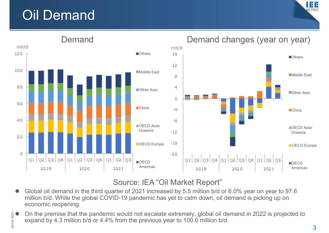### Oil Demand





#### Source: IEA "Oil Market Report"

 $\bullet$  Global oil demand in the third quarter of 2021 increased by 5.5 million b/d or 6.0% year on year to 97.6 million b/d. While the global COVID-19 pandemic has yet to calm down, oil demand is picking up on economic reopening.

 $\bullet$  On the premise that the pandemic would not escalate extremely, global oil demand in 2022 is projected to expand by 4.3 million b/d or 4.4% from the previous year to 100.6 million b/d.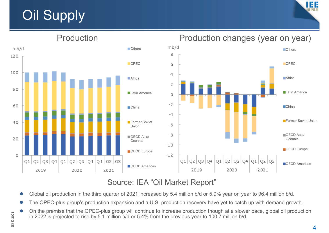### **Oil Supply**





#### Source: IEA "Oil Market Report"

- C Global oil production in the third quarter of 2021 increased by 5.4 million b/d or 5.9% year on year to 96.4 million b/d.
- $\blacksquare$ The OPEC-plus group's production expansion and a U.S. production recovery have yet to catch up with demand growth.
- $\bullet$  On the premise that the OPEC-plus group will continue to increase production though at a slower pace, global oil production in 2022 is projected to rise by 5.1 million b/d or 5.4% from the previous year to 100.7 million b/d.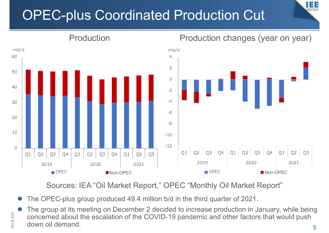### OPEC-plus Coordinated Production Cut



Sources: IEA "Oil Market Report," OPEC "Monthly Oil Market Report"

 $\bullet$ The OPEC-plus group produced 49.4 million b/d in the third quarter of 2021.

 $\Xi$ 

© 2021

 $\bullet$  The group at its meeting on December 2 decided to increase production in January, while being concerned about the escalation of the COVID-19 pandemic and other factors that would push down oil demand.5

#### Production Production changes (year on year)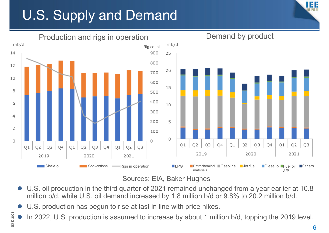### U.S. Supply and Demand





- $\bullet$  U.S. oil production in the third quarter of 2021 remained unchanged from a year earlier at 10.8 million b/d, while U.S. oil demand increased by 1.8 million b/d or 9.8% to 20.2 million b/d.
- $\bullet$ U.S. production has begun to rise at last in line with price hikes.
- $\bullet$ In 2022, U.S. production is assumed to increase by about 1 million b/d, topping the 2019 level.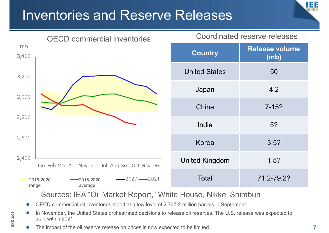#### Inventories and Reserve Releases





Sources: IEA "Oil Market Report," White House, Nikkei Shimbun

- $\bullet$ OECD commercial oil inventories stood at a low level of 2,737.2 million barrels in September.
- $\bullet$  In November, the United States orchestrated decisions to release oil reserves. The U.S. release was expected to start within 2021.
- $\bullet$ The impact of the oil reserve release on prices is now expected to be limited.

 $\Xi$ 

© 2021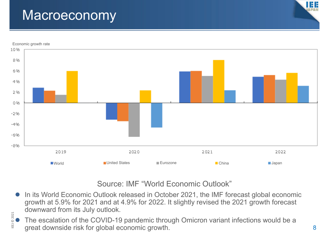#### **Macroeconomy**

 $\Xi$ 

© 2021



#### Source: IMF "World Economic Outlook"

- $\bullet$ In its World Economic Outlook released in October 2021, the IMF forecast global economic growth at 5.9% for 2021 and at 4.9% for 2022. It slightly revised the 2021 growth forecast downward from its July outlook.
- $\bullet$  The escalation of the COVID-19 pandemic through Omicron variant infections would be a great downside risk for global economic growth.

Ш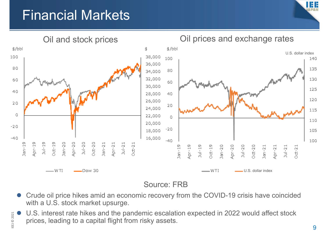#### Financial Markets





#### Source: FRB

- $\bullet$  Crude oil price hikes amid an economic recovery from the COVID-19 crisis have coincided with a U.S. stock market upsurge.
- $\bullet$  U.S. interest rate hikes and the pandemic escalation expected in 2022 would affect stock prices, leading to a capital flight from risky assets.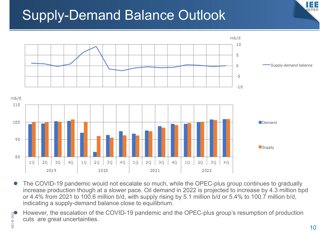### Supply-Demand Balance Outlook





- $\bullet$  The COVID-19 pandemic would not escalate so much, while the OPEC-plus group continues to gradually increase production though at a slower pace. Oil demand in 2022 is projected to increase by 4.3 million bpd or 4.4% from 2021 to 100.6 million b/d, with supply rising by 5.1 million b/d or 5.4% to 100.7 million b/d, indicating a supply-demand balance close to equilibrium.
- However, the escalation of the COVID-19 pandemic and the OPEC-plus group's resumption of production cuts are great uncertainties.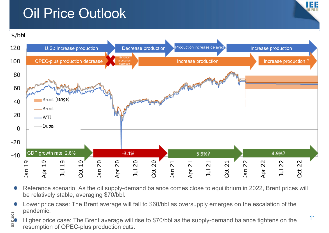### Oil Price Outlook

 $\Xi$ 





- $\bullet$  Reference scenario: As the oil supply-demand balance comes close to equilibrium in 2022, Brent prices will be relatively stable, averaging \$70/bbl.
- $\bullet$  Lower price case: The Brent average will fall to \$60/bbl as oversupply emerges on the escalation of the pandemic.
- $\rm \ddot{\circ}$  $\frac{2}{30}$  Panacrino.<br> $\bullet$  Higher price case: The Brent average will rise to \$70/bbl as the supply-demand balance tightens on the  $\qquad \qquad ^{11}$ resumption of OPEC-plus production cuts.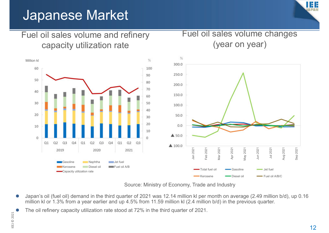#### Japanese Market

Fuel oil sales volume and refinery

# Ш

Fuel oil sales volume changes



Source: Ministry of Economy, Trade and Industry

- $\bullet$  Japan's oil (fuel oil) demand in the third quarter of 2021 was 12.14 million kl per month on average (2.49 million b/d), up 0.16 million kl or 1.3% from a year earlier and up 4.5% from 11.59 million kl (2.4 million b/d) in the previous quarter.
- $\bullet$ The oil refinery capacity utilization rate stood at 72% in the third quarter of 2021.